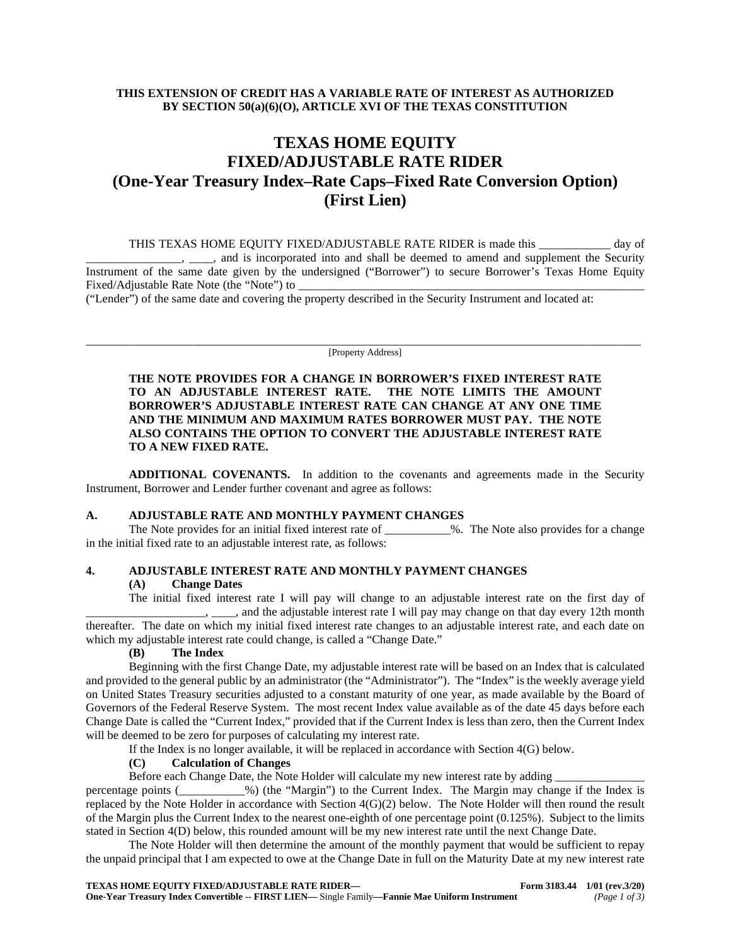# **THIS EXTENSION OF CREDIT HAS A VARIABLE RATE OF INTEREST AS AUTHORIZED BY SECTION 50(a)(6)(O), ARTICLE XVI OF THE TEXAS CONSTITUTION**

# **TEXAS HOME EQUITY FIXED/ADJUSTABLE RATE RIDER (One-Year Treasury Index–Rate Caps–Fixed Rate Conversion Option) (First Lien)**

THIS TEXAS HOME EQUITY FIXED/ADJUSTABLE RATE RIDER is made this \_\_\_\_\_\_\_\_\_\_\_\_ day of \_\_\_\_\_\_\_\_\_\_\_\_\_\_\_\_, \_\_\_\_, and is incorporated into and shall be deemed to amend and supplement the Security Instrument of the same date given by the undersigned ("Borrower") to secure Borrower's Texas Home Equity Fixed/Adjustable Rate Note (the "Note") to

("Lender") of the same date and covering the property described in the Security Instrument and located at:

\_\_\_\_\_\_\_\_\_\_\_\_\_\_\_\_\_\_\_\_\_\_\_\_\_\_\_\_\_\_\_\_\_\_\_\_\_\_\_\_\_\_\_\_\_\_\_\_\_\_\_\_\_\_\_\_\_\_\_\_\_\_\_\_\_\_\_\_\_\_\_\_\_\_\_\_\_\_\_\_\_\_\_\_\_\_\_\_\_\_\_\_\_ [Property Address]

**THE NOTE PROVIDES FOR A CHANGE IN BORROWER'S FIXED INTEREST RATE TO AN ADJUSTABLE INTEREST RATE. THE NOTE LIMITS THE AMOUNT BORROWER'S ADJUSTABLE INTEREST RATE CAN CHANGE AT ANY ONE TIME AND THE MINIMUM AND MAXIMUM RATES BORROWER MUST PAY. THE NOTE ALSO CONTAINS THE OPTION TO CONVERT THE ADJUSTABLE INTEREST RATE TO A NEW FIXED RATE.**

**ADDITIONAL COVENANTS.** In addition to the covenants and agreements made in the Security Instrument, Borrower and Lender further covenant and agree as follows:

#### **A. ADJUSTABLE RATE AND MONTHLY PAYMENT CHANGES**

The Note provides for an initial fixed interest rate of \_\_\_\_\_\_\_\_\_\_\_%. The Note also provides for a change in the initial fixed rate to an adjustable interest rate, as follows:

# **4. ADJUSTABLE INTEREST RATE AND MONTHLY PAYMENT CHANGES**

#### **(A) Change Dates**

The initial fixed interest rate I will pay will change to an adjustable interest rate on the first day of <sub>\_\_\_\_</sub>, \_\_\_\_\_, and the adjustable interest rate I will pay may change on that day every 12th month thereafter. The date on which my initial fixed interest rate changes to an adjustable interest rate, and each date on which my adjustable interest rate could change, is called a "Change Date."

#### **(B) The Index**

Beginning with the first Change Date, my adjustable interest rate will be based on an Index that is calculated and provided to the general public by an administrator (the "Administrator"). The "Index" is the weekly average yield on United States Treasury securities adjusted to a constant maturity of one year, as made available by the Board of Governors of the Federal Reserve System. The most recent Index value available as of the date 45 days before each Change Date is called the "Current Index," provided that if the Current Index is less than zero, then the Current Index will be deemed to be zero for purposes of calculating my interest rate.

If the Index is no longer available, it will be replaced in accordance with Section 4(G) below.

### **(C) Calculation of Changes**

Before each Change Date, the Note Holder will calculate my new interest rate by adding \_ percentage points (\_\_\_\_\_\_\_\_\_\_\_%) (the "Margin") to the Current Index. The Margin may chan  $\mu$ %) (the "Margin") to the Current Index. The Margin may change if the Index is replaced by the Note Holder in accordance with Section 4(G)(2) below. The Note Holder will then round the result of the Margin plus the Current Index to the nearest one-eighth of one percentage point (0.125%). Subject to the limits stated in Section 4(D) below, this rounded amount will be my new interest rate until the next Change Date.

The Note Holder will then determine the amount of the monthly payment that would be sufficient to repay the unpaid principal that I am expected to owe at the Change Date in full on the Maturity Date at my new interest rate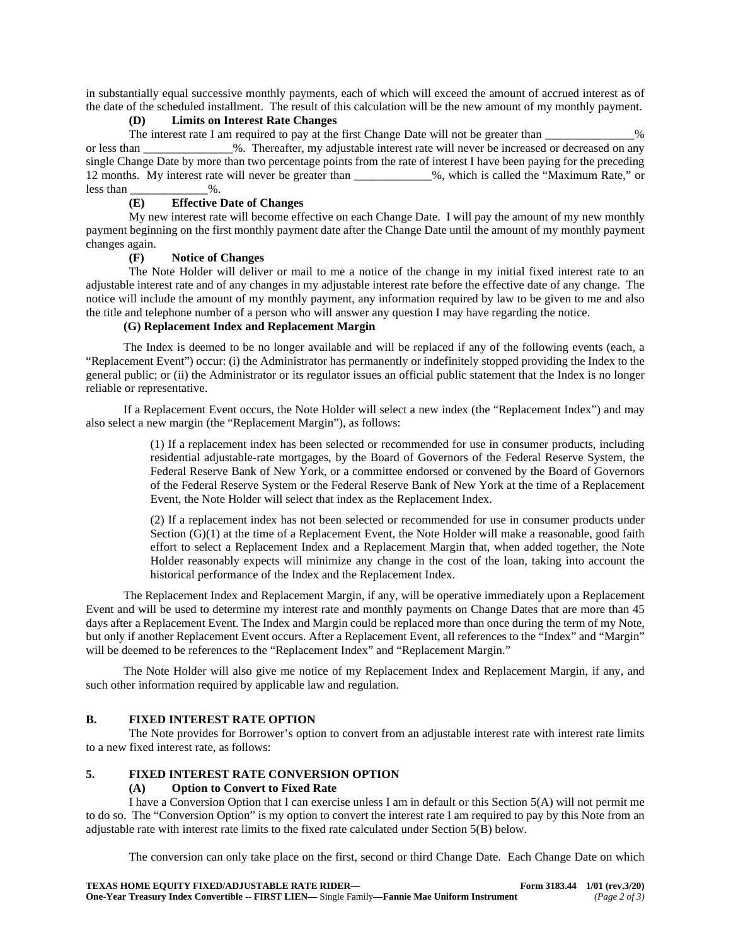in substantially equal successive monthly payments, each of which will exceed the amount of accrued interest as of the date of the scheduled installment. The result of this calculation will be the new amount of my monthly payment.

## **(D) Limits on Interest Rate Changes**

The interest rate I am required to pay at the first Change Date will not be greater than \_\_\_\_\_\_\_\_\_\_\_\_\_% or less than  $\%$ . Thereafter, my adjustable interest rate will never be increased or decreased on any single Change Date by more than two percentage points from the rate of interest I have been paying for the preceding 12 months. My interest rate will never be greater than \_\_\_\_\_\_\_\_\_\_\_\_\_%, which is called the "Maximum Rate," or less than  $\%$ .

# **(E) Effective Date of Changes**

My new interest rate will become effective on each Change Date. I will pay the amount of my new monthly payment beginning on the first monthly payment date after the Change Date until the amount of my monthly payment changes again.

### **(F) Notice of Changes**

The Note Holder will deliver or mail to me a notice of the change in my initial fixed interest rate to an adjustable interest rate and of any changes in my adjustable interest rate before the effective date of any change. The notice will include the amount of my monthly payment, any information required by law to be given to me and also the title and telephone number of a person who will answer any question I may have regarding the notice.

# **(G) Replacement Index and Replacement Margin**

The Index is deemed to be no longer available and will be replaced if any of the following events (each, a "Replacement Event") occur: (i) the Administrator has permanently or indefinitely stopped providing the Index to the general public; or (ii) the Administrator or its regulator issues an official public statement that the Index is no longer reliable or representative.

If a Replacement Event occurs, the Note Holder will select a new index (the "Replacement Index") and may also select a new margin (the "Replacement Margin"), as follows:

> (1) If a replacement index has been selected or recommended for use in consumer products, including residential adjustable-rate mortgages, by the Board of Governors of the Federal Reserve System, the Federal Reserve Bank of New York, or a committee endorsed or convened by the Board of Governors of the Federal Reserve System or the Federal Reserve Bank of New York at the time of a Replacement Event, the Note Holder will select that index as the Replacement Index.

> (2) If a replacement index has not been selected or recommended for use in consumer products under Section (G)(1) at the time of a Replacement Event, the Note Holder will make a reasonable, good faith effort to select a Replacement Index and a Replacement Margin that, when added together, the Note Holder reasonably expects will minimize any change in the cost of the loan, taking into account the historical performance of the Index and the Replacement Index.

The Replacement Index and Replacement Margin, if any, will be operative immediately upon a Replacement Event and will be used to determine my interest rate and monthly payments on Change Dates that are more than 45 days after a Replacement Event. The Index and Margin could be replaced more than once during the term of my Note, but only if another Replacement Event occurs. After a Replacement Event, all references to the "Index" and "Margin" will be deemed to be references to the "Replacement Index" and "Replacement Margin."

The Note Holder will also give me notice of my Replacement Index and Replacement Margin, if any, and such other information required by applicable law and regulation.

# **B. FIXED INTEREST RATE OPTION**

The Note provides for Borrower's option to convert from an adjustable interest rate with interest rate limits to a new fixed interest rate, as follows:

### **5. FIXED INTEREST RATE CONVERSION OPTION**

### **(A) Option to Convert to Fixed Rate**

I have a Conversion Option that I can exercise unless I am in default or this Section 5(A) will not permit me to do so. The "Conversion Option" is my option to convert the interest rate I am required to pay by this Note from an adjustable rate with interest rate limits to the fixed rate calculated under Section 5(B) below.

The conversion can only take place on the first, second or third Change Date. Each Change Date on which